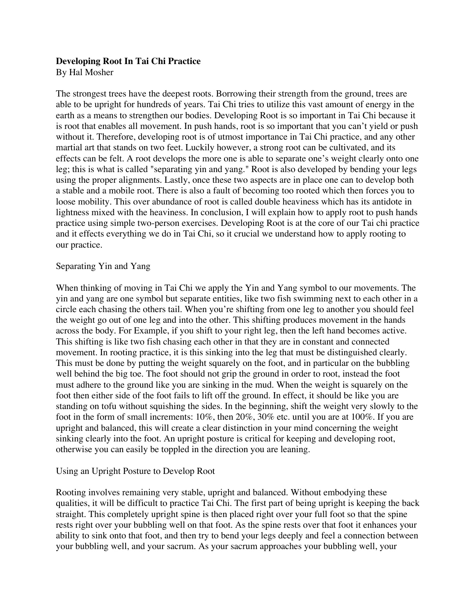# **Developing Root In Tai Chi Practice**

By Hal Mosher

The strongest trees have the deepest roots. Borrowing their strength from the ground, trees are able to be upright for hundreds of years. Tai Chi tries to utilize this vast amount of energy in the earth as a means to strengthen our bodies. Developing Root is so important in Tai Chi because it is root that enables all movement. In push hands, root is so important that you can't yield or push without it. Therefore, developing root is of utmost importance in Tai Chi practice, and any other martial art that stands on two feet. Luckily however, a strong root can be cultivated, and its effects can be felt. A root develops the more one is able to separate one's weight clearly onto one leg; this is what is called "separating yin and yang." Root is also developed by bending your legs using the proper alignments. Lastly, once these two aspects are in place one can to develop both a stable and a mobile root. There is also a fault of becoming too rooted which then forces you to loose mobility. This over abundance of root is called double heaviness which has its antidote in lightness mixed with the heaviness. In conclusion, I will explain how to apply root to push hands practice using simple two-person exercises. Developing Root is at the core of our Tai chi practice and it effects everything we do in Tai Chi, so it crucial we understand how to apply rooting to our practice.

# Separating Yin and Yang

When thinking of moving in Tai Chi we apply the Yin and Yang symbol to our movements. The yin and yang are one symbol but separate entities, like two fish swimming next to each other in a circle each chasing the others tail. When you're shifting from one leg to another you should feel the weight go out of one leg and into the other. This shifting produces movement in the hands across the body. For Example, if you shift to your right leg, then the left hand becomes active. This shifting is like two fish chasing each other in that they are in constant and connected movement. In rooting practice, it is this sinking into the leg that must be distinguished clearly. This must be done by putting the weight squarely on the foot, and in particular on the bubbling well behind the big toe. The foot should not grip the ground in order to root, instead the foot must adhere to the ground like you are sinking in the mud. When the weight is squarely on the foot then either side of the foot fails to lift off the ground. In effect, it should be like you are standing on tofu without squishing the sides. In the beginning, shift the weight very slowly to the foot in the form of small increments: 10%, then 20%, 30% etc. until you are at 100%. If you are upright and balanced, this will create a clear distinction in your mind concerning the weight sinking clearly into the foot. An upright posture is critical for keeping and developing root, otherwise you can easily be toppled in the direction you are leaning.

# Using an Upright Posture to Develop Root

Rooting involves remaining very stable, upright and balanced. Without embodying these qualities, it will be difficult to practice Tai Chi. The first part of being upright is keeping the back straight. This completely upright spine is then placed right over your full foot so that the spine rests right over your bubbling well on that foot. As the spine rests over that foot it enhances your ability to sink onto that foot, and then try to bend your legs deeply and feel a connection between your bubbling well, and your sacrum. As your sacrum approaches your bubbling well, your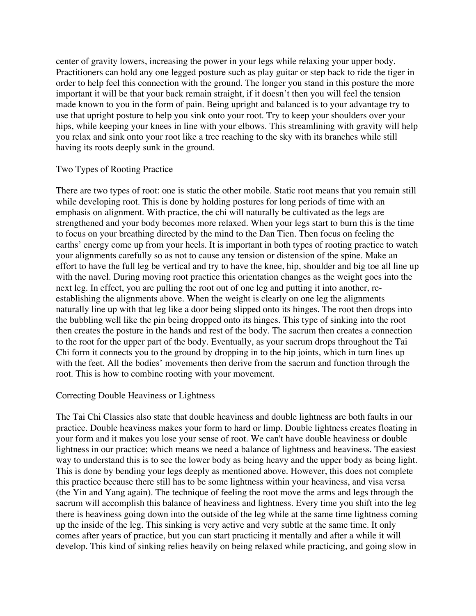center of gravity lowers, increasing the power in your legs while relaxing your upper body. Practitioners can hold any one legged posture such as play guitar or step back to ride the tiger in order to help feel this connection with the ground. The longer you stand in this posture the more important it will be that your back remain straight, if it doesn't then you will feel the tension made known to you in the form of pain. Being upright and balanced is to your advantage try to use that upright posture to help you sink onto your root. Try to keep your shoulders over your hips, while keeping your knees in line with your elbows. This streamlining with gravity will help you relax and sink onto your root like a tree reaching to the sky with its branches while still having its roots deeply sunk in the ground.

# Two Types of Rooting Practice

There are two types of root: one is static the other mobile. Static root means that you remain still while developing root. This is done by holding postures for long periods of time with an emphasis on alignment. With practice, the chi will naturally be cultivated as the legs are strengthened and your body becomes more relaxed. When your legs start to burn this is the time to focus on your breathing directed by the mind to the Dan Tien. Then focus on feeling the earths' energy come up from your heels. It is important in both types of rooting practice to watch your alignments carefully so as not to cause any tension or distension of the spine. Make an effort to have the full leg be vertical and try to have the knee, hip, shoulder and big toe all line up with the navel. During moving root practice this orientation changes as the weight goes into the next leg. In effect, you are pulling the root out of one leg and putting it into another, reestablishing the alignments above. When the weight is clearly on one leg the alignments naturally line up with that leg like a door being slipped onto its hinges. The root then drops into the bubbling well like the pin being dropped onto its hinges. This type of sinking into the root then creates the posture in the hands and rest of the body. The sacrum then creates a connection to the root for the upper part of the body. Eventually, as your sacrum drops throughout the Tai Chi form it connects you to the ground by dropping in to the hip joints, which in turn lines up with the feet. All the bodies' movements then derive from the sacrum and function through the root. This is how to combine rooting with your movement.

# Correcting Double Heaviness or Lightness

The Tai Chi Classics also state that double heaviness and double lightness are both faults in our practice. Double heaviness makes your form to hard or limp. Double lightness creates floating in your form and it makes you lose your sense of root. We can't have double heaviness or double lightness in our practice; which means we need a balance of lightness and heaviness. The easiest way to understand this is to see the lower body as being heavy and the upper body as being light. This is done by bending your legs deeply as mentioned above. However, this does not complete this practice because there still has to be some lightness within your heaviness, and visa versa (the Yin and Yang again). The technique of feeling the root move the arms and legs through the sacrum will accomplish this balance of heaviness and lightness. Every time you shift into the leg there is heaviness going down into the outside of the leg while at the same time lightness coming up the inside of the leg. This sinking is very active and very subtle at the same time. It only comes after years of practice, but you can start practicing it mentally and after a while it will develop. This kind of sinking relies heavily on being relaxed while practicing, and going slow in